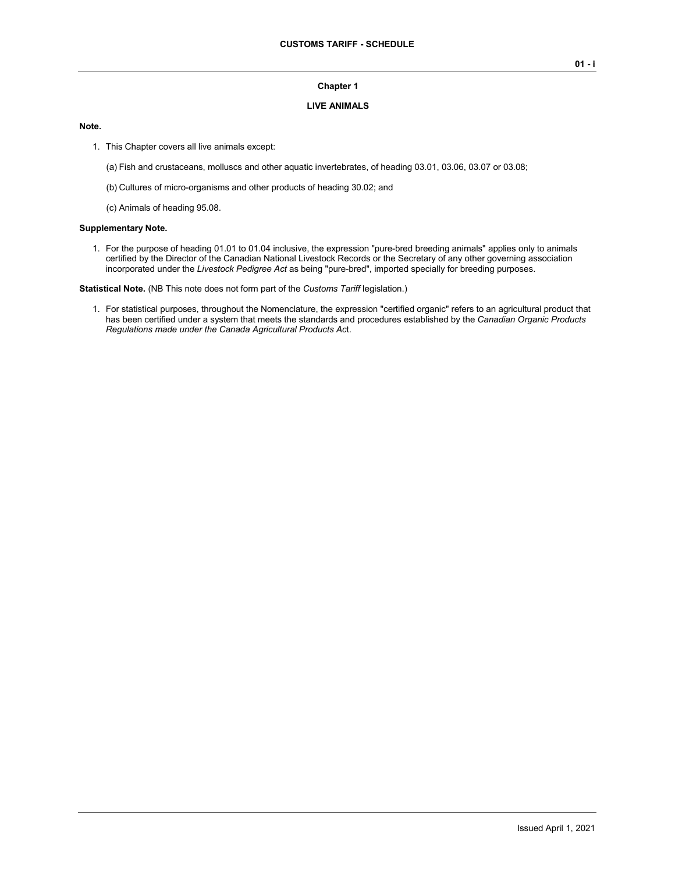### **Chapter 1**

### **LIVE ANIMALS**

## **Note.**

- 1. This Chapter covers all live animals except:
	- (a) Fish and crustaceans, molluscs and other aquatic invertebrates, of heading 03.01, 03.06, 03.07 or 03.08;
	- (b) Cultures of micro-organisms and other products of heading 30.02; and
	- (c) Animals of heading 95.08.

#### **Supplementary Note.**

1. For the purpose of heading 01.01 to 01.04 inclusive, the expression "pure-bred breeding animals" applies only to animals certified by the Director of the Canadian National Livestock Records or the Secretary of any other governing association incorporated under the *Livestock Pedigree Act* as being "pure-bred", imported specially for breeding purposes.

**Statistical Note.** (NB This note does not form part of the *Customs Tariff* legislation.)

1. For statistical purposes, throughout the Nomenclature, the expression "certified organic" refers to an agricultural product that has been certified under a system that meets the standards and procedures established by the *Canadian Organic Products Regulations made under the Canada Agricultural Products Ac*t.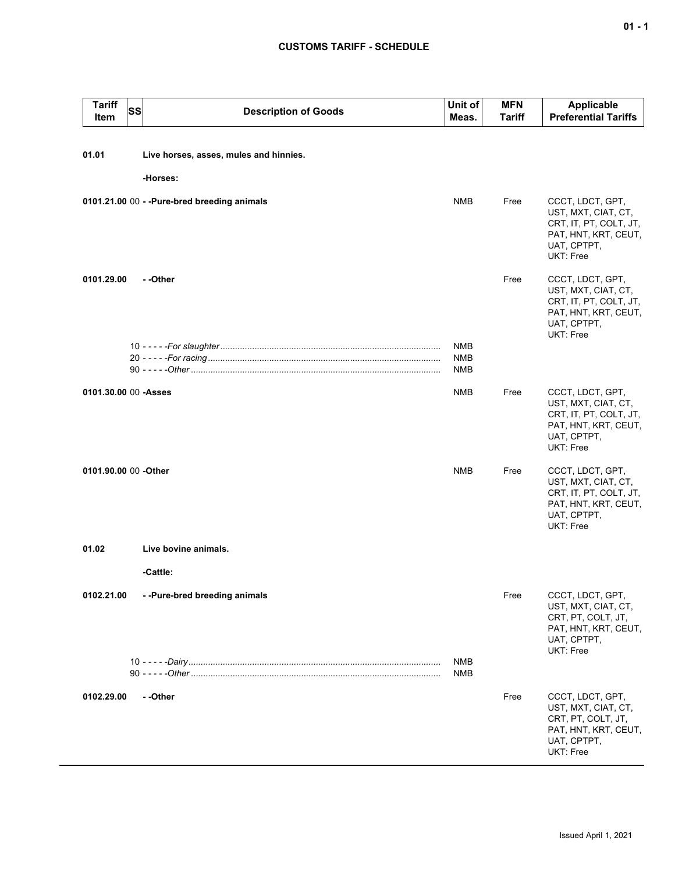# **CUSTOMS TARIFF - SCHEDULE**

| <b>Tariff</b><br>Item | <b>SS</b><br><b>Description of Goods</b>                    | Unit of<br>Meas.         | <b>MFN</b><br><b>Tariff</b> | Applicable<br><b>Preferential Tariffs</b>                                                                             |
|-----------------------|-------------------------------------------------------------|--------------------------|-----------------------------|-----------------------------------------------------------------------------------------------------------------------|
| 01.01                 | Live horses, asses, mules and hinnies.                      |                          |                             |                                                                                                                       |
|                       | -Horses:                                                    |                          |                             |                                                                                                                       |
|                       | 0101.21.00 00 - - Pure-bred breeding animals                | <b>NMB</b>               | Free                        | CCCT, LDCT, GPT,<br>UST, MXT, CIAT, CT,<br>CRT, IT, PT, COLT, JT,<br>PAT, HNT, KRT, CEUT,<br>UAT, CPTPT,<br>UKT: Free |
| 0101.29.00            | - -Other                                                    |                          | Free                        | CCCT, LDCT, GPT,<br>UST, MXT, CIAT, CT,<br>CRT, IT, PT, COLT, JT,<br>PAT, HNT, KRT, CEUT,<br>UAT, CPTPT,<br>UKT: Free |
|                       |                                                             | NMB<br><b>NMB</b><br>NMB |                             |                                                                                                                       |
|                       | 0101.30.00 00 - Asses                                       | NMB                      | Free                        | CCCT, LDCT, GPT,<br>UST, MXT, CIAT, CT,<br>CRT, IT, PT, COLT, JT,<br>PAT, HNT, KRT, CEUT,<br>UAT, CPTPT,<br>UKT: Free |
| 0101.90.00 00 -Other  |                                                             | <b>NMB</b>               | Free                        | CCCT, LDCT, GPT,<br>UST, MXT, CIAT, CT,<br>CRT, IT, PT, COLT, JT,<br>PAT, HNT, KRT, CEUT,<br>UAT, CPTPT,<br>UKT: Free |
| 01.02                 | Live bovine animals.                                        |                          |                             |                                                                                                                       |
|                       | -Cattle:                                                    |                          |                             |                                                                                                                       |
| 0102.21.00            | --Pure-bred breeding animals                                |                          | Free                        | CCCT, LDCT, GPT,<br>UST, MXT, CIAT, CT,<br>CRT, PT, COLT, JT,<br>PAT, HNT, KRT, CEUT,<br>UAT, CPTPT,                  |
|                       | 10 - - - - <i>- Dairy ………………………………………………………………………………</i> …… | <b>NMB</b><br>NMB        |                             | UKT: Free                                                                                                             |
| 0102.29.00            | --Other                                                     |                          | Free                        | CCCT, LDCT, GPT,<br>UST, MXT, CIAT, CT,<br>CRT, PT, COLT, JT,<br>PAT, HNT, KRT, CEUT,<br>UAT, CPTPT,<br>UKT: Free     |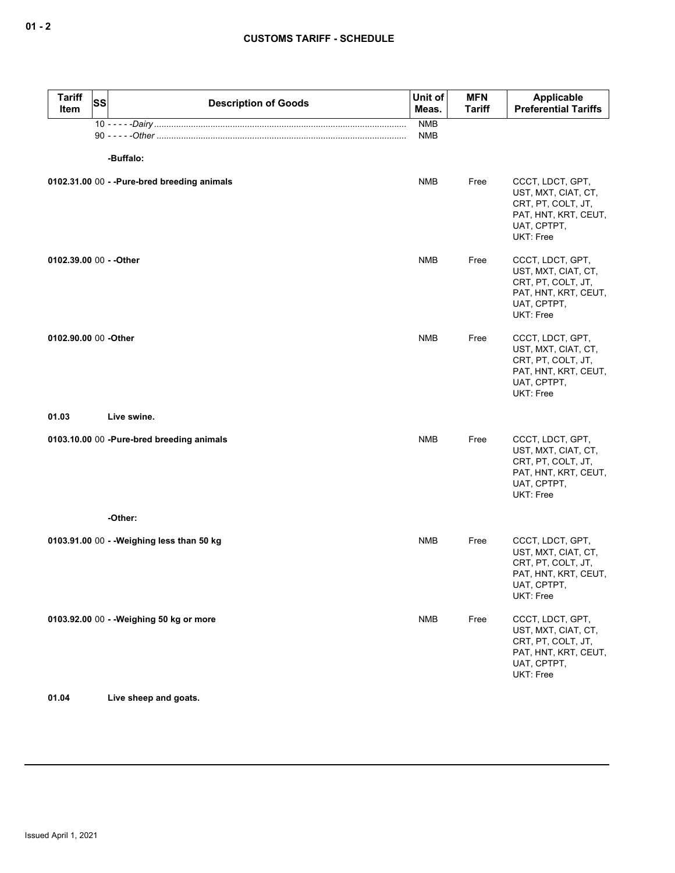| <b>Tariff</b><br>Item   | <b>SS</b> | <b>Description of Goods</b>                  | Unit of<br>Meas.  | <b>MFN</b><br><b>Tariff</b> | Applicable<br><b>Preferential Tariffs</b>                                                                         |
|-------------------------|-----------|----------------------------------------------|-------------------|-----------------------------|-------------------------------------------------------------------------------------------------------------------|
|                         |           |                                              | <b>NMB</b><br>NMB |                             |                                                                                                                   |
|                         |           | -Buffalo:                                    |                   |                             |                                                                                                                   |
|                         |           | 0102.31.00 00 - - Pure-bred breeding animals | <b>NMB</b>        | Free                        | CCCT, LDCT, GPT,<br>UST, MXT, CIAT, CT,<br>CRT, PT, COLT, JT,<br>PAT, HNT, KRT, CEUT,<br>UAT, CPTPT,<br>UKT: Free |
| 0102.39.00 00 - - Other |           |                                              | <b>NMB</b>        | Free                        | CCCT, LDCT, GPT,<br>UST, MXT, CIAT, CT,<br>CRT, PT, COLT, JT,<br>PAT, HNT, KRT, CEUT,<br>UAT, CPTPT,<br>UKT: Free |
| 0102.90.00 00 -Other    |           |                                              | <b>NMB</b>        | Free                        | CCCT, LDCT, GPT,<br>UST, MXT, CIAT, CT,<br>CRT, PT, COLT, JT,<br>PAT, HNT, KRT, CEUT,<br>UAT, CPTPT,<br>UKT: Free |
| 01.03                   |           | Live swine.                                  |                   |                             |                                                                                                                   |
|                         |           | 0103.10.00 00 -Pure-bred breeding animals    | <b>NMB</b>        | Free                        | CCCT, LDCT, GPT,<br>UST, MXT, CIAT, CT,<br>CRT, PT, COLT, JT,<br>PAT, HNT, KRT, CEUT,<br>UAT, CPTPT,<br>UKT: Free |
|                         |           | -Other:                                      |                   |                             |                                                                                                                   |
|                         |           | 0103.91.00 00 - - Weighing less than 50 kg   | <b>NMB</b>        | Free                        | CCCT, LDCT, GPT,<br>UST, MXT, CIAT, CT,<br>CRT, PT, COLT, JT,<br>PAT, HNT, KRT, CEUT,<br>UAT, CPTPT,<br>UKT: Free |
|                         |           | 0103.92.00 00 - - Weighing 50 kg or more     | <b>NMB</b>        | Free                        | CCCT, LDCT, GPT,<br>UST, MXT, CIAT, CT,<br>CRT, PT, COLT, JT,<br>PAT, HNT, KRT, CEUT,<br>UAT, CPTPT,<br>UKT: Free |

# **01.04 Live sheep and goats.**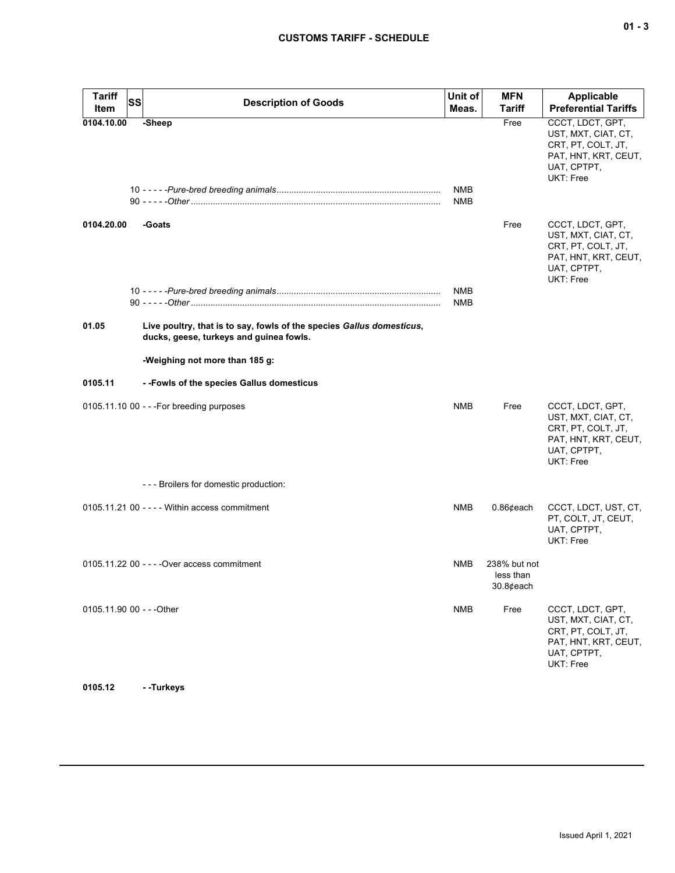| <b>Tariff</b><br>Item     | <b>SS</b> | <b>Description of Goods</b>                                                                                      | Unit of<br>Meas.         | <b>MFN</b><br>Tariff                      | Applicable<br><b>Preferential Tariffs</b>                                                                         |
|---------------------------|-----------|------------------------------------------------------------------------------------------------------------------|--------------------------|-------------------------------------------|-------------------------------------------------------------------------------------------------------------------|
| 0104.10.00                |           | -Sheep                                                                                                           | <b>NMB</b><br><b>NMB</b> | Free                                      | CCCT, LDCT, GPT,<br>UST, MXT, CIAT, CT,<br>CRT, PT, COLT, JT,<br>PAT, HNT, KRT, CEUT,<br>UAT, CPTPT,<br>UKT: Free |
| 0104.20.00                |           | -Goats                                                                                                           |                          | Free                                      | CCCT, LDCT, GPT,<br>UST, MXT, CIAT, CT,<br>CRT, PT, COLT, JT,<br>PAT, HNT, KRT, CEUT,<br>UAT, CPTPT,<br>UKT: Free |
|                           |           |                                                                                                                  | <b>NMB</b><br><b>NMB</b> |                                           |                                                                                                                   |
| 01.05                     |           | Live poultry, that is to say, fowls of the species Gallus domesticus,<br>ducks, geese, turkeys and guinea fowls. |                          |                                           |                                                                                                                   |
|                           |           | -Weighing not more than 185 g:                                                                                   |                          |                                           |                                                                                                                   |
| 0105.11                   |           | - - Fowls of the species Gallus domesticus                                                                       |                          |                                           |                                                                                                                   |
|                           |           | $0105.11.1000 - -$ For breeding purposes                                                                         | <b>NMB</b>               | Free                                      | CCCT, LDCT, GPT,<br>UST, MXT, CIAT, CT,<br>CRT, PT, COLT, JT,<br>PAT, HNT, KRT, CEUT,<br>UAT, CPTPT,<br>UKT: Free |
|                           |           | --- Broilers for domestic production:                                                                            |                          |                                           |                                                                                                                   |
|                           |           | $0105.11.2100 - - -$ Within access commitment                                                                    | <b>NMB</b>               | $0.86$ ¢each                              | CCCT, LDCT, UST, CT,<br>PT, COLT, JT, CEUT,<br>UAT, CPTPT,<br>UKT: Free                                           |
|                           |           | 0105.11.22 00 - - - - Over access commitment                                                                     | <b>NMB</b>               | 238% but not<br>less than<br>$30.8$ ¢each |                                                                                                                   |
| 0105.11.90 00 - - - Other |           |                                                                                                                  | <b>NMB</b>               | Free                                      | CCCT, LDCT, GPT,<br>UST, MXT, CIAT, CT,<br>CRT, PT, COLT, JT,<br>PAT, HNT, KRT, CEUT,<br>UAT, CPTPT,<br>UKT: Free |

**0105.12 - -Turkeys**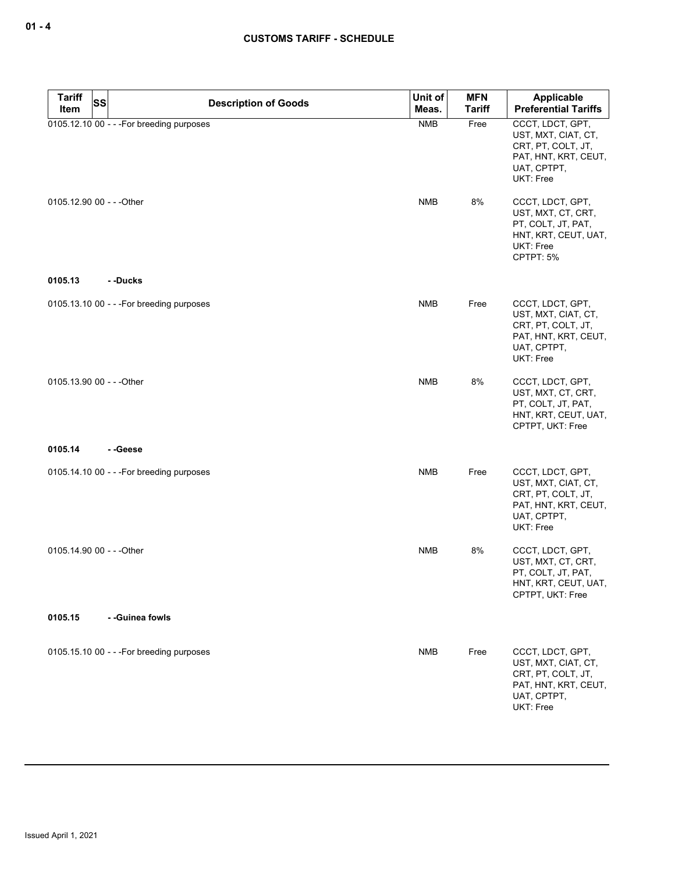| <b>Tariff</b>             | <b>SS</b><br><b>Description of Goods</b>  | Unit of    | MFN           | Applicable                                                                                                            |
|---------------------------|-------------------------------------------|------------|---------------|-----------------------------------------------------------------------------------------------------------------------|
| Item                      |                                           | Meas.      | <b>Tariff</b> | <b>Preferential Tariffs</b>                                                                                           |
|                           | 0105.12.10 00 - - - For breeding purposes | <b>NMB</b> | Free          | CCCT, LDCT, GPT,<br>UST, MXT, CIAT, CT,<br>CRT, PT, COLT, JT,<br>PAT, HNT, KRT, CEUT,<br>UAT, CPTPT,<br>UKT: Free     |
| 0105.12.90 00 - - - Other |                                           | <b>NMB</b> | 8%            | CCCT, LDCT, GPT,<br>UST, MXT, CT, CRT,<br>PT, COLT, JT, PAT,<br>HNT, KRT, CEUT, UAT,<br><b>UKT: Free</b><br>CPTPT: 5% |
| 0105.13                   | --Ducks                                   |            |               |                                                                                                                       |
|                           | 0105.13.10 00 - - - For breeding purposes | <b>NMB</b> | Free          | CCCT, LDCT, GPT,<br>UST, MXT, CIAT, CT,<br>CRT, PT, COLT, JT,<br>PAT, HNT, KRT, CEUT,<br>UAT, CPTPT,<br>UKT: Free     |
| 0105.13.90 00 - - - Other |                                           | <b>NMB</b> | 8%            | CCCT, LDCT, GPT,<br>UST, MXT, CT, CRT,<br>PT, COLT, JT, PAT,<br>HNT, KRT, CEUT, UAT,<br>CPTPT, UKT: Free              |
| 0105.14                   | --Geese                                   |            |               |                                                                                                                       |
|                           | 0105.14.10 00 - - - For breeding purposes | <b>NMB</b> | Free          | CCCT, LDCT, GPT,<br>UST, MXT, CIAT, CT,<br>CRT, PT, COLT, JT,<br>PAT, HNT, KRT, CEUT,<br>UAT, CPTPT,<br>UKT: Free     |
| 0105.14.90 00 - - - Other |                                           | <b>NMB</b> | 8%            | CCCT, LDCT, GPT,<br>UST, MXT, CT, CRT,<br>PT, COLT, JT, PAT,<br>HNT, KRT, CEUT, UAT,<br>CPTPT, UKT: Free              |
| 0105.15                   | - -Guinea fowls                           |            |               |                                                                                                                       |
|                           | 0105.15.10 00 - - - For breeding purposes | <b>NMB</b> | Free          | CCCT, LDCT, GPT,<br>UST, MXT, CIAT, CT,<br>CRT, PT, COLT, JT,<br>PAT, HNT, KRT, CEUT,<br>UAT, CPTPT,<br>UKT: Free     |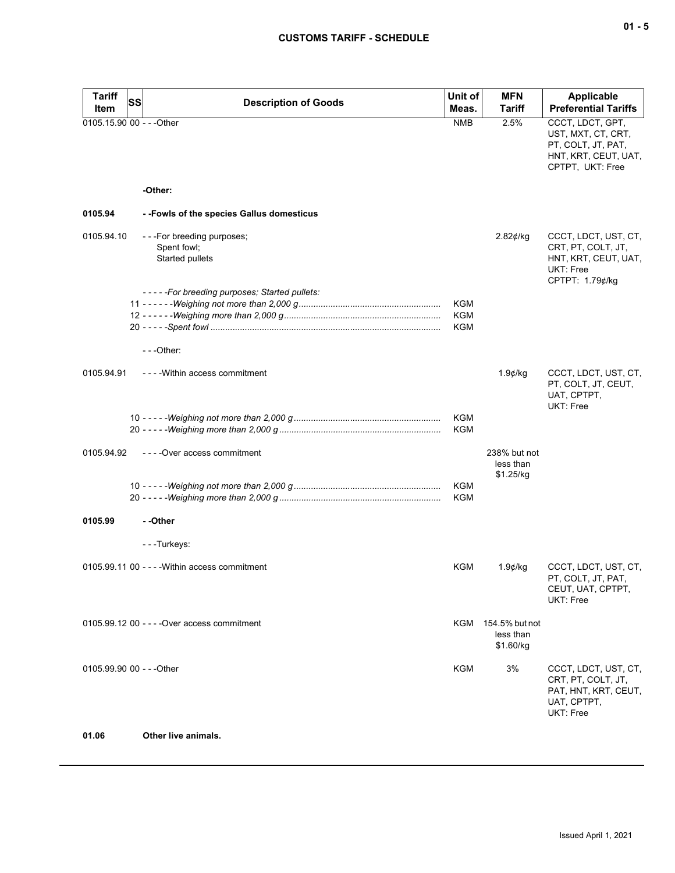| ×<br>۰. |  | ×<br>۰. |
|---------|--|---------|
|---------|--|---------|

| <b>Tariff</b><br>Item     | SS<br><b>Description of Goods</b>                           | Unit of<br>Meas.                | <b>MFN</b><br><b>Tariff</b>                  | <b>Applicable</b><br><b>Preferential Tariffs</b>                                                         |
|---------------------------|-------------------------------------------------------------|---------------------------------|----------------------------------------------|----------------------------------------------------------------------------------------------------------|
| 0105.15.90 00 - - - Other |                                                             | <b>NMB</b>                      | 2.5%                                         | CCCT, LDCT, GPT,<br>UST, MXT, CT, CRT,<br>PT, COLT, JT, PAT,<br>HNT, KRT, CEUT, UAT,<br>CPTPT, UKT: Free |
|                           | -Other:                                                     |                                 |                                              |                                                                                                          |
| 0105.94                   | --Fowls of the species Gallus domesticus                    |                                 |                                              |                                                                                                          |
| 0105.94.10                | ---For breeding purposes;<br>Spent fowl;<br>Started pullets |                                 | 2.82¢/kg                                     | CCCT, LDCT, UST, CT,<br>CRT, PT, COLT, JT,<br>HNT, KRT, CEUT, UAT,<br>UKT: Free<br>CPTPT: 1.79¢/kg       |
|                           | -----For breeding purposes; Started pullets:                | <b>KGM</b><br><b>KGM</b><br>KGM |                                              |                                                                                                          |
|                           | $--Other:$                                                  |                                 |                                              |                                                                                                          |
| 0105.94.91                | - - - - Within access commitment                            |                                 | $1.9$ ¢/kg                                   | CCCT, LDCT, UST, CT,<br>PT, COLT, JT, CEUT,<br>UAT, CPTPT,<br>UKT: Free                                  |
|                           |                                                             | <b>KGM</b><br><b>KGM</b>        |                                              |                                                                                                          |
| 0105.94.92                | ----Over access commitment                                  |                                 | 238% but not<br>less than<br>\$1.25/kg       |                                                                                                          |
|                           |                                                             | <b>KGM</b><br><b>KGM</b>        |                                              |                                                                                                          |
| 0105.99                   | - -Other                                                    |                                 |                                              |                                                                                                          |
|                           | ---Turkeys:                                                 |                                 |                                              |                                                                                                          |
|                           | $0105.99.1100 - -$ - Within access commitment               | KGM                             | $1.9$ ¢/kg                                   | CCCT, LDCT, UST, CT,<br>PT, COLT, JT, PAT,<br>CEUT, UAT, CPTPT,<br>UKT: Free                             |
|                           | 0105.99.12 00 - - - - Over access commitment                |                                 | KGM 154.5% but not<br>less than<br>\$1.60/kg |                                                                                                          |
| 0105.99.90 00 - - - Other |                                                             | KGM                             | 3%                                           | CCCT, LDCT, UST, CT,<br>CRT, PT, COLT, JT,<br>PAT, HNT, KRT, CEUT,<br>UAT, CPTPT,<br>UKT: Free           |
| 01.06                     | Other live animals.                                         |                                 |                                              |                                                                                                          |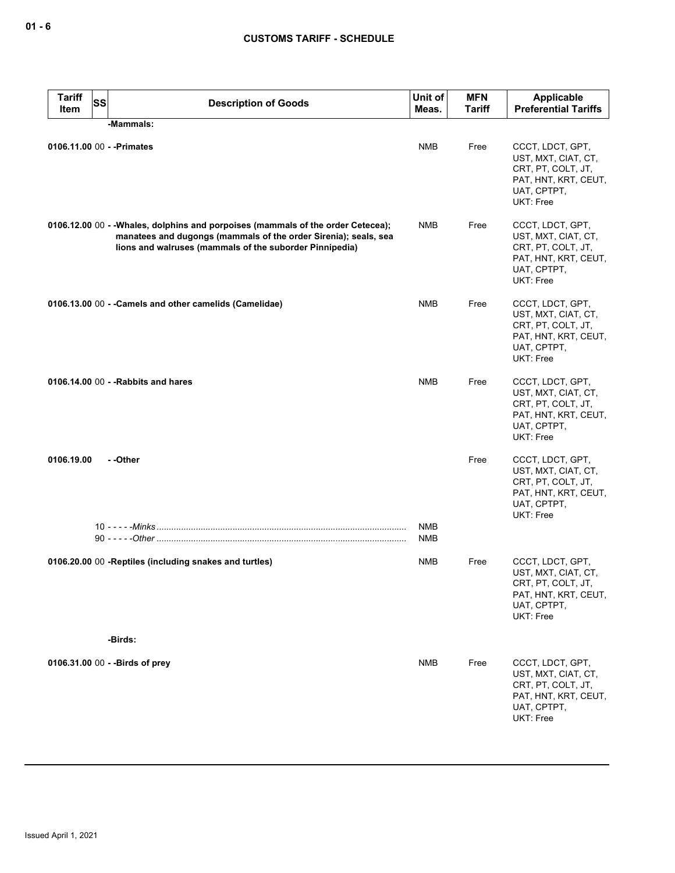| <b>Tariff</b><br>SS<br>Item | <b>Description of Goods</b>                                                                                                                                                                                    | Unit of<br>Meas.  | <b>MFN</b><br><b>Tariff</b> | Applicable<br><b>Preferential Tariffs</b>                                                                         |
|-----------------------------|----------------------------------------------------------------------------------------------------------------------------------------------------------------------------------------------------------------|-------------------|-----------------------------|-------------------------------------------------------------------------------------------------------------------|
|                             | -Mammals:                                                                                                                                                                                                      |                   |                             |                                                                                                                   |
| 0106.11.00 00 - - Primates  |                                                                                                                                                                                                                | <b>NMB</b>        | Free                        | CCCT, LDCT, GPT,<br>UST, MXT, CIAT, CT,<br>CRT, PT, COLT, JT,<br>PAT, HNT, KRT, CEUT,<br>UAT, CPTPT,<br>UKT: Free |
|                             | 0106.12.00 00 - - Whales, dolphins and porpoises (mammals of the order Cetecea);<br>manatees and dugongs (mammals of the order Sirenia); seals, sea<br>lions and walruses (mammals of the suborder Pinnipedia) | <b>NMB</b>        | Free                        | CCCT, LDCT, GPT,<br>UST, MXT, CIAT, CT,<br>CRT, PT, COLT, JT,<br>PAT, HNT, KRT, CEUT,<br>UAT, CPTPT,<br>UKT: Free |
|                             | 0106.13.00 00 - - Camels and other camelids (Camelidae)                                                                                                                                                        | <b>NMB</b>        | Free                        | CCCT, LDCT, GPT,<br>UST, MXT, CIAT, CT,<br>CRT, PT, COLT, JT,<br>PAT, HNT, KRT, CEUT,<br>UAT, CPTPT,<br>UKT: Free |
|                             | 0106.14.00 00 - - Rabbits and hares                                                                                                                                                                            | <b>NMB</b>        | Free                        | CCCT, LDCT, GPT,<br>UST, MXT, CIAT, CT,<br>CRT, PT, COLT, JT,<br>PAT, HNT, KRT, CEUT,<br>UAT, CPTPT,<br>UKT: Free |
| 0106.19.00                  | - -Other                                                                                                                                                                                                       |                   | Free                        | CCCT, LDCT, GPT,<br>UST, MXT, CIAT, CT,<br>CRT, PT, COLT, JT,<br>PAT, HNT, KRT, CEUT,<br>UAT, CPTPT,<br>UKT: Free |
|                             |                                                                                                                                                                                                                | <b>NMB</b><br>NMB |                             |                                                                                                                   |
|                             | 0106.20.00 00 -Reptiles (including snakes and turtles)                                                                                                                                                         | NMB               | Free                        | CCCT, LDCT, GPT,<br>UST, MXT, CIAT, CT,<br>CRT, PT, COLT, JT,<br>PAT, HNT, KRT, CEUT,<br>UAT, CPTPT,<br>UKT: Free |
|                             | -Birds:                                                                                                                                                                                                        |                   |                             |                                                                                                                   |
|                             | 0106.31.00 00 - - Birds of prey                                                                                                                                                                                | <b>NMB</b>        | Free                        | CCCT, LDCT, GPT,<br>UST, MXT, CIAT, CT,<br>CRT, PT, COLT, JT,<br>PAT, HNT, KRT, CEUT,<br>UAT, CPTPT,<br>UKT: Free |